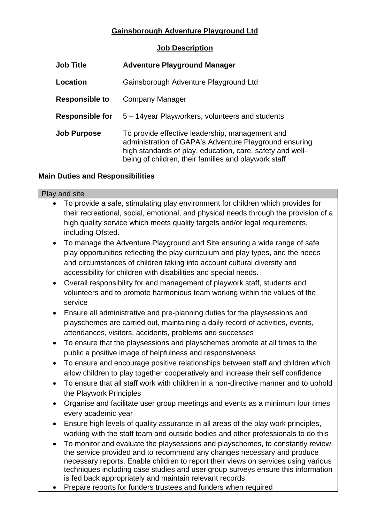## **Gainsborough Adventure Playground Ltd**

## **Job Description**

| <b>Job Title</b>       | <b>Adventure Playground Manager</b>                                                                                                                                                                                            |
|------------------------|--------------------------------------------------------------------------------------------------------------------------------------------------------------------------------------------------------------------------------|
| Location               | Gainsborough Adventure Playground Ltd                                                                                                                                                                                          |
| <b>Responsible to</b>  | Company Manager                                                                                                                                                                                                                |
| <b>Responsible for</b> | 5 – 14 year Playworkers, volunteers and students                                                                                                                                                                               |
| <b>Job Purpose</b>     | To provide effective leadership, management and<br>administration of GAPA's Adventure Playground ensuring<br>high standards of play, education, care, safety and well-<br>being of children, their families and playwork staff |

## **Main Duties and Responsibilities**

# Play and site • To provide a safe, stimulating play environment for children which provides for their recreational, social, emotional, and physical needs through the provision of a high quality service which meets quality targets and/or legal requirements, including Ofsted. • To manage the Adventure Playground and Site ensuring a wide range of safe play opportunities reflecting the play curriculum and play types, and the needs and circumstances of children taking into account cultural diversity and accessibility for children with disabilities and special needs. • Overall responsibility for and management of playwork staff, students and volunteers and to promote harmonious team working within the values of the service • Ensure all administrative and pre-planning duties for the playsessions and playschemes are carried out, maintaining a daily record of activities, events, attendances, visitors, accidents, problems and successes • To ensure that the playsessions and playschemes promote at all times to the public a positive image of helpfulness and responsiveness • To ensure and encourage positive relationships between staff and children which allow children to play together cooperatively and increase their self confidence • To ensure that all staff work with children in a non-directive manner and to uphold the Playwork Principles • Organise and facilitate user group meetings and events as a minimum four times every academic year • Ensure high levels of quality assurance in all areas of the play work principles, working with the staff team and outside bodies and other professionals to do this • To monitor and evaluate the playsessions and playschemes, to constantly review the service provided and to recommend any changes necessary and produce necessary reports. Enable children to report their views on services using various techniques including case studies and user group surveys ensure this information is fed back appropriately and maintain relevant records

• Prepare reports for funders trustees and funders when required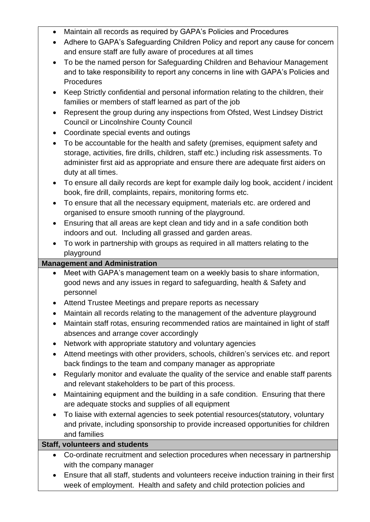- Maintain all records as required by GAPA's Policies and Procedures
- Adhere to GAPA's Safeguarding Children Policy and report any cause for concern and ensure staff are fully aware of procedures at all times
- To be the named person for Safeguarding Children and Behaviour Management and to take responsibility to report any concerns in line with GAPA's Policies and **Procedures**
- Keep Strictly confidential and personal information relating to the children, their families or members of staff learned as part of the job
- Represent the group during any inspections from Ofsted, West Lindsey District Council or Lincolnshire County Council
- Coordinate special events and outings
- To be accountable for the health and safety (premises, equipment safety and storage, activities, fire drills, children, staff etc.) including risk assessments. To administer first aid as appropriate and ensure there are adequate first aiders on duty at all times.
- To ensure all daily records are kept for example daily log book, accident / incident book, fire drill, complaints, repairs, monitoring forms etc.
- To ensure that all the necessary equipment, materials etc. are ordered and organised to ensure smooth running of the playground.
- Ensuring that all areas are kept clean and tidy and in a safe condition both indoors and out. Including all grassed and garden areas.
- To work in partnership with groups as required in all matters relating to the playground

# **Management and Administration**

- Meet with GAPA's management team on a weekly basis to share information, good news and any issues in regard to safeguarding, health & Safety and personnel
- Attend Trustee Meetings and prepare reports as necessary
- Maintain all records relating to the management of the adventure playground
- Maintain staff rotas, ensuring recommended ratios are maintained in light of staff absences and arrange cover accordingly
- Network with appropriate statutory and voluntary agencies
- Attend meetings with other providers, schools, children's services etc. and report back findings to the team and company manager as appropriate
- Regularly monitor and evaluate the quality of the service and enable staff parents and relevant stakeholders to be part of this process.
- Maintaining equipment and the building in a safe condition. Ensuring that there are adequate stocks and supplies of all equipment
- To liaise with external agencies to seek potential resources(statutory, voluntary and private, including sponsorship to provide increased opportunities for children and families

# **Staff, volunteers and students**

- Co-ordinate recruitment and selection procedures when necessary in partnership with the company manager
- Ensure that all staff, students and volunteers receive induction training in their first week of employment. Health and safety and child protection policies and